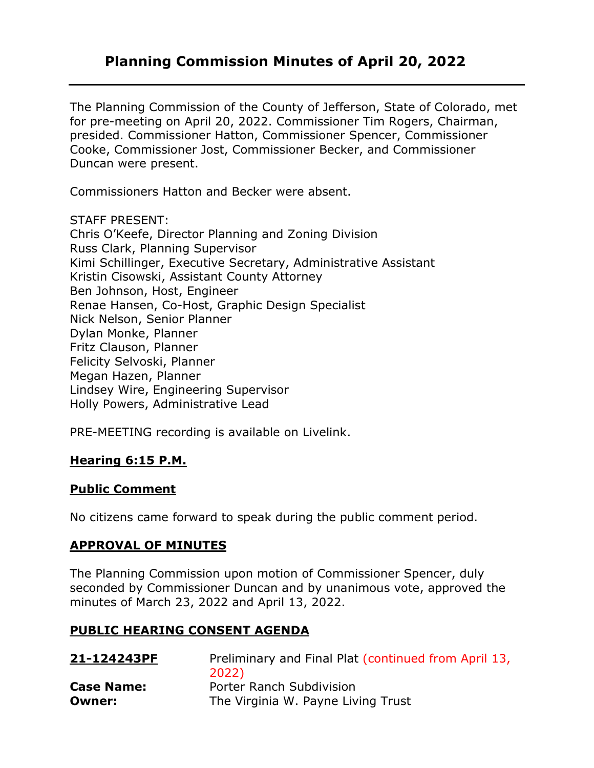# **Planning Commission Minutes of April 20, 2022**

The Planning Commission of the County of Jefferson, State of Colorado, met for pre-meeting on April 20, 2022. Commissioner Tim Rogers, Chairman, presided. Commissioner Hatton, Commissioner Spencer, Commissioner Cooke, Commissioner Jost, Commissioner Becker, and Commissioner Duncan were present.

Commissioners Hatton and Becker were absent.

#### STAFF PRESENT:

Chris O'Keefe, Director Planning and Zoning Division Russ Clark, Planning Supervisor Kimi Schillinger, Executive Secretary, Administrative Assistant Kristin Cisowski, Assistant County Attorney Ben Johnson, Host, Engineer Renae Hansen, Co-Host, Graphic Design Specialist Nick Nelson, Senior Planner Dylan Monke, Planner Fritz Clauson, Planner Felicity Selvoski, Planner Megan Hazen, Planner Lindsey Wire, Engineering Supervisor Holly Powers, Administrative Lead

PRE-MEETING recording is available on Livelink.

## **Hearing 6:15 P.M.**

#### **Public Comment**

No citizens came forward to speak during the public comment period.

#### **APPROVAL OF MINUTES**

The Planning Commission upon motion of Commissioner Spencer, duly seconded by Commissioner Duncan and by unanimous vote, approved the minutes of March 23, 2022 and April 13, 2022.

#### **PUBLIC HEARING CONSENT AGENDA**

| 21-124243PF       | Preliminary and Final Plat (continued from April 13, |
|-------------------|------------------------------------------------------|
|                   | 2022)                                                |
| <b>Case Name:</b> | Porter Ranch Subdivision                             |
| <b>Owner:</b>     | The Virginia W. Payne Living Trust                   |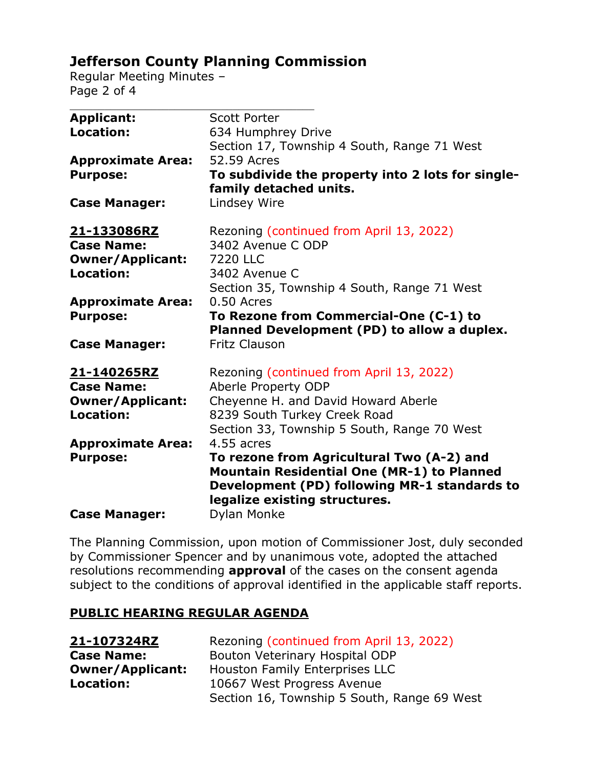# **Jefferson County Planning Commission**

Regular Meeting Minutes – Page 2 of 4

| <b>Scott Porter</b>                                                                   |
|---------------------------------------------------------------------------------------|
| 634 Humphrey Drive                                                                    |
| Section 17, Township 4 South, Range 71 West                                           |
| 52.59 Acres                                                                           |
| To subdivide the property into 2 lots for single-                                     |
| family detached units.                                                                |
| Lindsey Wire                                                                          |
|                                                                                       |
| Rezoning (continued from April 13, 2022)                                              |
| 3402 Avenue C ODP                                                                     |
| <b>7220 LLC</b>                                                                       |
| 3402 Avenue C                                                                         |
| Section 35, Township 4 South, Range 71 West                                           |
| 0.50 Acres                                                                            |
| To Rezone from Commercial-One (C-1) to<br>Planned Development (PD) to allow a duplex. |
| <b>Fritz Clauson</b>                                                                  |
|                                                                                       |
| Rezoning (continued from April 13, 2022)                                              |
| Aberle Property ODP                                                                   |
| Cheyenne H. and David Howard Aberle                                                   |
| 8239 South Turkey Creek Road                                                          |
| Section 33, Township 5 South, Range 70 West                                           |
| 4.55 acres                                                                            |
| To rezone from Agricultural Two (A-2) and                                             |
| <b>Mountain Residential One (MR-1) to Planned</b>                                     |
| Development (PD) following MR-1 standards to                                          |
| legalize existing structures.                                                         |
| Dylan Monke                                                                           |
|                                                                                       |

The Planning Commission, upon motion of Commissioner Jost, duly seconded by Commissioner Spencer and by unanimous vote, adopted the attached resolutions recommending **approval** of the cases on the consent agenda subject to the conditions of approval identified in the applicable staff reports.

## **PUBLIC HEARING REGULAR AGENDA**

| 21-107324RZ             | Rezoning (continued from April 13, 2022)    |
|-------------------------|---------------------------------------------|
| <b>Case Name:</b>       | Bouton Veterinary Hospital ODP              |
| <b>Owner/Applicant:</b> | Houston Family Enterprises LLC              |
| Location:               | 10667 West Progress Avenue                  |
|                         | Section 16, Township 5 South, Range 69 West |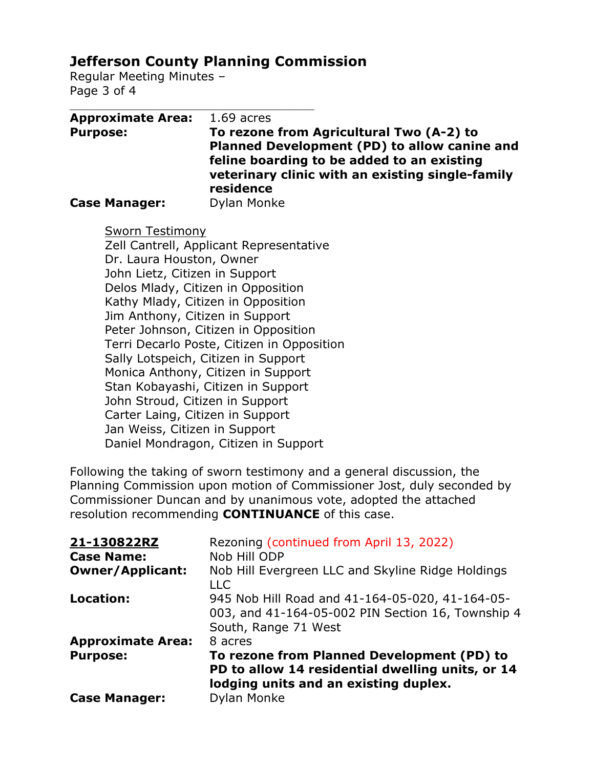# **Jefferson County Planning Commission**

Regular Meeting Minutes – Page 3 of 4

| <b>Approximate Area:</b> | $1.69$ acres                                                                               |
|--------------------------|--------------------------------------------------------------------------------------------|
| <b>Purpose:</b>          | To rezone from Agricultural Two (A-2) to                                                   |
|                          | Planned Development (PD) to allow canine and<br>feline boarding to be added to an existing |
|                          | veterinary clinic with an existing single-family                                           |
|                          | residence                                                                                  |
| <b>Case Manager:</b>     | Dylan Monke                                                                                |

Sworn Testimony

Zell Cantrell, Applicant Representative Dr. Laura Houston, Owner John Lietz, Citizen in Support Delos Mlady, Citizen in Opposition Kathy Mlady, Citizen in Opposition Jim Anthony, Citizen in Support Peter Johnson, Citizen in Opposition Terri Decarlo Poste, Citizen in Opposition Sally Lotspeich, Citizen in Support Monica Anthony, Citizen in Support Stan Kobayashi, Citizen in Support John Stroud, Citizen in Support Carter Laing, Citizen in Support Jan Weiss, Citizen in Support Daniel Mondragon, Citizen in Support

Following the taking of sworn testimony and a general discussion, the Planning Commission upon motion of Commissioner Jost, duly seconded by Commissioner Duncan and by unanimous vote, adopted the attached resolution recommending **CONTINUANCE** of this case.

| 21-130822RZ              | Rezoning (continued from April 13, 2022)                                                                                                |
|--------------------------|-----------------------------------------------------------------------------------------------------------------------------------------|
| <b>Case Name:</b>        | Nob Hill ODP                                                                                                                            |
| <b>Owner/Applicant:</b>  | Nob Hill Evergreen LLC and Skyline Ridge Holdings<br><b>LLC</b>                                                                         |
| <b>Location:</b>         | 945 Nob Hill Road and 41-164-05-020, 41-164-05-<br>003, and 41-164-05-002 PIN Section 16, Township 4<br>South, Range 71 West            |
| <b>Approximate Area:</b> | 8 acres                                                                                                                                 |
| <b>Purpose:</b>          | To rezone from Planned Development (PD) to<br>PD to allow 14 residential dwelling units, or 14<br>lodging units and an existing duplex. |
| <b>Case Manager:</b>     | Dylan Monke                                                                                                                             |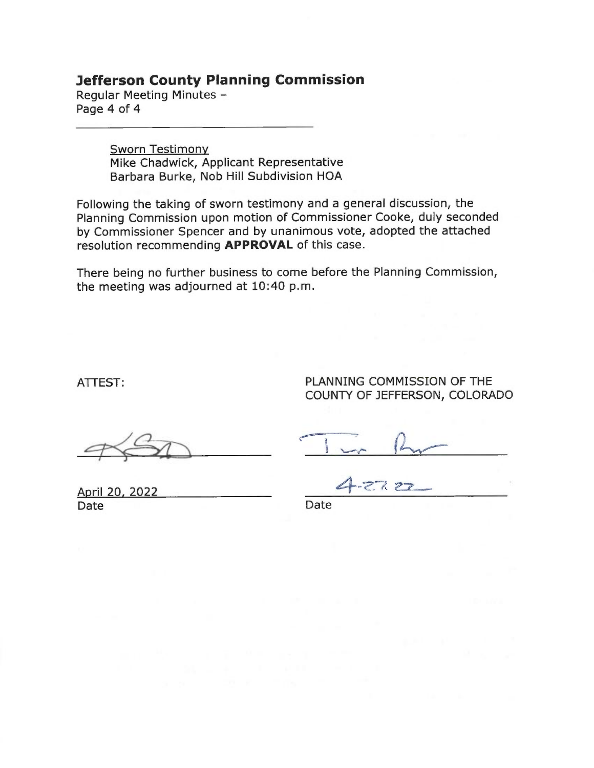#### **Jefferson County Planning Commission**

Regular Meeting Minutes -Page 4 of 4

> **Sworn Testimony** Mike Chadwick, Applicant Representative Barbara Burke, Nob Hill Subdivision HOA

Following the taking of sworn testimony and a general discussion, the Planning Commission upon motion of Commissioner Cooke, duly seconded by Commissioner Spencer and by unanimous vote, adopted the attached resolution recommending APPROVAL of this case.

There being no further business to come before the Planning Commission, the meeting was adjourned at 10:40 p.m.

ATTEST:

PLANNING COMMISSION OF THE COUNTY OF JEFFERSON, COLORADO

April 20, 2022 Date

Date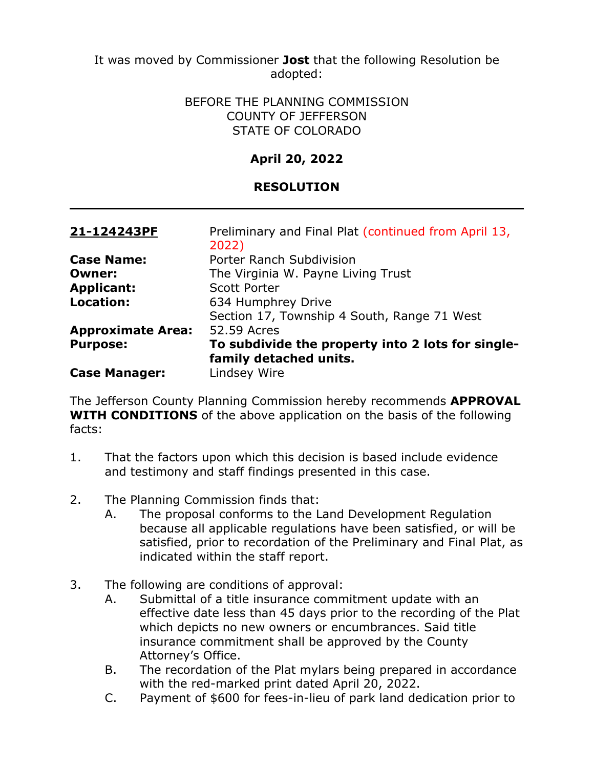#### BEFORE THE PLANNING COMMISSION COUNTY OF JEFFERSON STATE OF COLORADO

# **April 20, 2022**

## **RESOLUTION**

| 21-124243PF              | Preliminary and Final Plat (continued from April 13,<br>2022) |
|--------------------------|---------------------------------------------------------------|
| <b>Case Name:</b>        | Porter Ranch Subdivision                                      |
| <b>Owner:</b>            | The Virginia W. Payne Living Trust                            |
| <b>Applicant:</b>        | <b>Scott Porter</b>                                           |
| <b>Location:</b>         | 634 Humphrey Drive                                            |
|                          | Section 17, Township 4 South, Range 71 West                   |
| <b>Approximate Area:</b> | 52.59 Acres                                                   |
| <b>Purpose:</b>          | To subdivide the property into 2 lots for single-             |
|                          | family detached units.                                        |
| <b>Case Manager:</b>     | Lindsey Wire                                                  |

The Jefferson County Planning Commission hereby recommends **APPROVAL WITH CONDITIONS** of the above application on the basis of the following facts:

- 1. That the factors upon which this decision is based include evidence and testimony and staff findings presented in this case.
- 2. The Planning Commission finds that:
	- A. The proposal conforms to the Land Development Regulation because all applicable regulations have been satisfied, or will be satisfied, prior to recordation of the Preliminary and Final Plat, as indicated within the staff report.
- 3. The following are conditions of approval:
	- A. Submittal of a title insurance commitment update with an effective date less than 45 days prior to the recording of the Plat which depicts no new owners or encumbrances. Said title insurance commitment shall be approved by the County Attorney's Office.
	- B. The recordation of the Plat mylars being prepared in accordance with the red-marked print dated April 20, 2022.
	- C. Payment of \$600 for fees-in-lieu of park land dedication prior to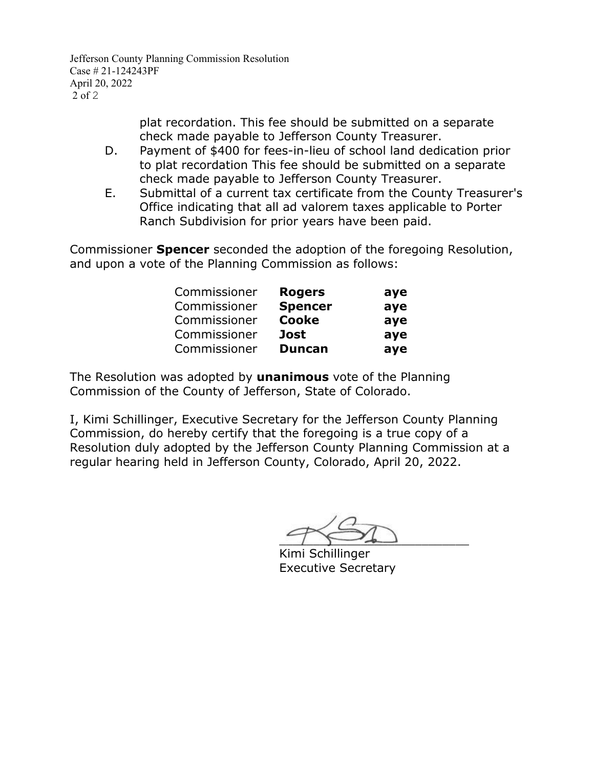Jefferson County Planning Commission Resolution Case # 21-124243PF April 20, 2022  $2$  of 2

> plat recordation. This fee should be submitted on a separate check made payable to Jefferson County Treasurer.

- D. Payment of \$400 for fees-in-lieu of school land dedication prior to plat recordation This fee should be submitted on a separate check made payable to Jefferson County Treasurer.
- E. Submittal of a current tax certificate from the County Treasurer's Office indicating that all ad valorem taxes applicable to Porter Ranch Subdivision for prior years have been paid.

Commissioner **Spencer** seconded the adoption of the foregoing Resolution, and upon a vote of the Planning Commission as follows:

| Commissioner | <b>Rogers</b>  | aye |
|--------------|----------------|-----|
| Commissioner | <b>Spencer</b> | ave |
| Commissioner | <b>Cooke</b>   | aye |
| Commissioner | <b>Jost</b>    | aye |
| Commissioner | <b>Duncan</b>  | aye |

The Resolution was adopted by **unanimous** vote of the Planning Commission of the County of Jefferson, State of Colorado.

 $-1$ 

Kimi Schillinger Executive Secretary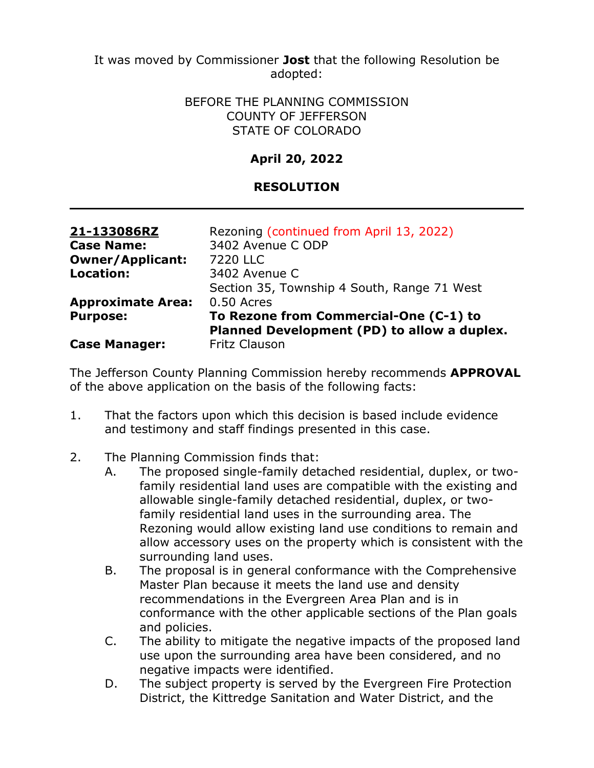> BEFORE THE PLANNING COMMISSION COUNTY OF JEFFERSON STATE OF COLORADO

## **April 20, 2022**

## **RESOLUTION**

| 21-133086RZ              | Rezoning (continued from April 13, 2022)    |
|--------------------------|---------------------------------------------|
| <b>Case Name:</b>        | 3402 Avenue C ODP                           |
| <b>Owner/Applicant:</b>  | 7220 LLC                                    |
| <b>Location:</b>         | 3402 Avenue C                               |
|                          | Section 35, Township 4 South, Range 71 West |
| <b>Approximate Area:</b> | 0.50 Acres                                  |
| <b>Purpose:</b>          | To Rezone from Commercial-One (C-1) to      |
|                          | Planned Development (PD) to allow a duplex. |
| <b>Case Manager:</b>     | <b>Fritz Clauson</b>                        |

The Jefferson County Planning Commission hereby recommends **APPROVAL** of the above application on the basis of the following facts:

- 1. That the factors upon which this decision is based include evidence and testimony and staff findings presented in this case.
- 2. The Planning Commission finds that:
	- A. The proposed single-family detached residential, duplex, or twofamily residential land uses are compatible with the existing and allowable single-family detached residential, duplex, or twofamily residential land uses in the surrounding area. The Rezoning would allow existing land use conditions to remain and allow accessory uses on the property which is consistent with the surrounding land uses.
	- B. The proposal is in general conformance with the Comprehensive Master Plan because it meets the land use and density recommendations in the Evergreen Area Plan and is in conformance with the other applicable sections of the Plan goals and policies.
	- C. The ability to mitigate the negative impacts of the proposed land use upon the surrounding area have been considered, and no negative impacts were identified.
	- D. The subject property is served by the Evergreen Fire Protection District, the Kittredge Sanitation and Water District, and the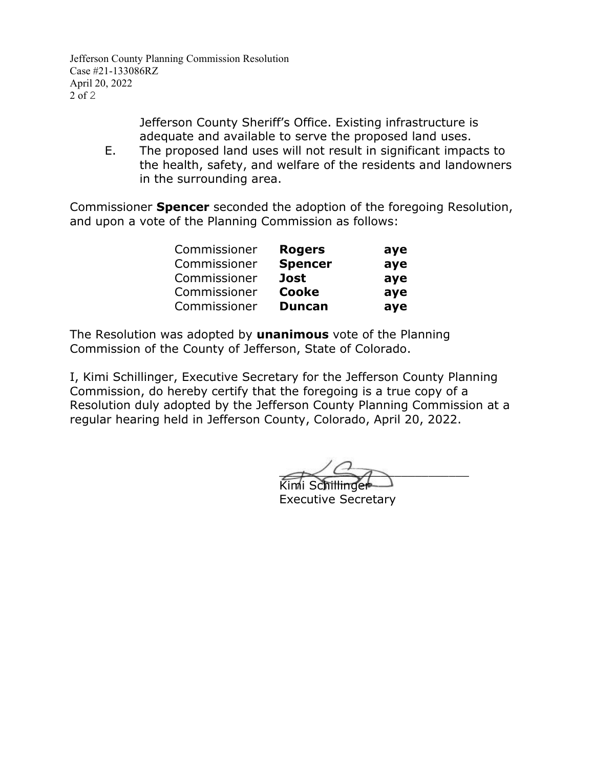Jefferson County Planning Commission Resolution Case #21-133086RZ April 20, 2022 2 of 2

> Jefferson County Sheriff's Office. Existing infrastructure is adequate and available to serve the proposed land uses.

E. The proposed land uses will not result in significant impacts to the health, safety, and welfare of the residents and landowners in the surrounding area.

Commissioner **Spencer** seconded the adoption of the foregoing Resolution, and upon a vote of the Planning Commission as follows:

| Commissioner | <b>Rogers</b>  | aye |
|--------------|----------------|-----|
| Commissioner | <b>Spencer</b> | aye |
| Commissioner | <b>Jost</b>    | aye |
| Commissioner | Cooke          | aye |
| Commissioner | <b>Duncan</b>  | aye |

The Resolution was adopted by **unanimous** vote of the Planning Commission of the County of Jefferson, State of Colorado.

 $\overline{\phantom{a}}$ 

Kimi Schillinger Executive Secretary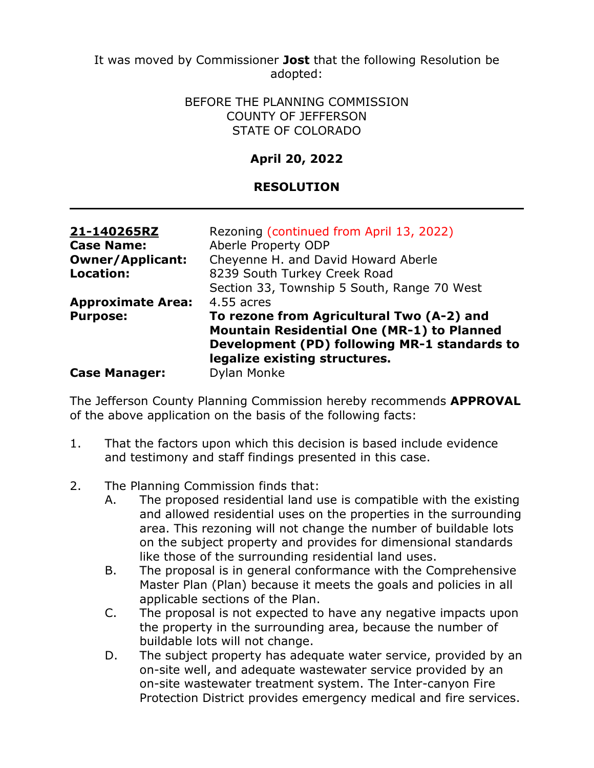> BEFORE THE PLANNING COMMISSION COUNTY OF JEFFERSON STATE OF COLORADO

# **April 20, 2022**

## **RESOLUTION**

| 21-140265RZ              | Rezoning (continued from April 13, 2022)                                                                                                                                        |
|--------------------------|---------------------------------------------------------------------------------------------------------------------------------------------------------------------------------|
| <b>Case Name:</b>        | Aberle Property ODP                                                                                                                                                             |
| <b>Owner/Applicant:</b>  | Cheyenne H. and David Howard Aberle                                                                                                                                             |
| <b>Location:</b>         | 8239 South Turkey Creek Road                                                                                                                                                    |
|                          | Section 33, Township 5 South, Range 70 West                                                                                                                                     |
| <b>Approximate Area:</b> | 4.55 acres                                                                                                                                                                      |
| <b>Purpose:</b>          | To rezone from Agricultural Two (A-2) and<br><b>Mountain Residential One (MR-1) to Planned</b><br>Development (PD) following MR-1 standards to<br>legalize existing structures. |
| <b>Case Manager:</b>     | <b>Dylan Monke</b>                                                                                                                                                              |

The Jefferson County Planning Commission hereby recommends **APPROVAL**  of the above application on the basis of the following facts:

- 1. That the factors upon which this decision is based include evidence and testimony and staff findings presented in this case.
- 2. The Planning Commission finds that:
	- A. The proposed residential land use is compatible with the existing and allowed residential uses on the properties in the surrounding area. This rezoning will not change the number of buildable lots on the subject property and provides for dimensional standards like those of the surrounding residential land uses.
	- B. The proposal is in general conformance with the Comprehensive Master Plan (Plan) because it meets the goals and policies in all applicable sections of the Plan.
	- C. The proposal is not expected to have any negative impacts upon the property in the surrounding area, because the number of buildable lots will not change.
	- D. The subject property has adequate water service, provided by an on-site well, and adequate wastewater service provided by an on-site wastewater treatment system. The Inter-canyon Fire Protection District provides emergency medical and fire services.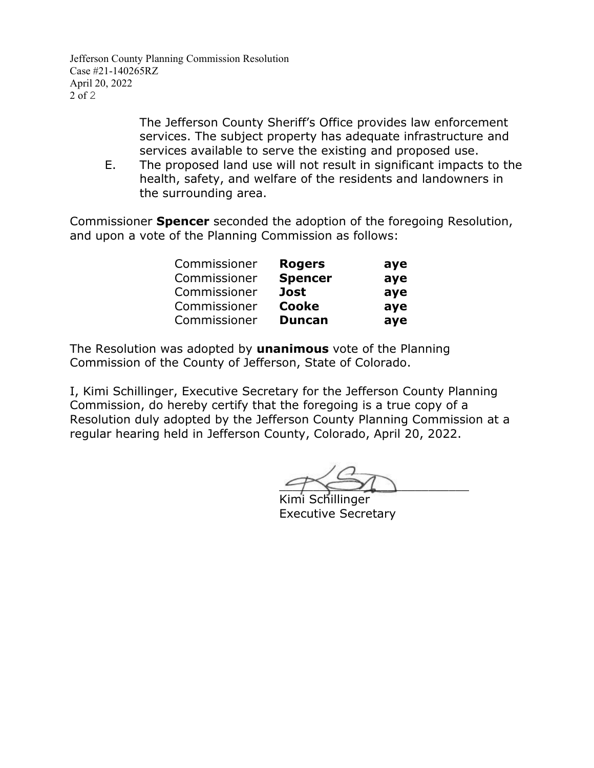Jefferson County Planning Commission Resolution Case #21-140265RZ April 20, 2022 2 of 2

> The Jefferson County Sheriff's Office provides law enforcement services. The subject property has adequate infrastructure and services available to serve the existing and proposed use.

E. The proposed land use will not result in significant impacts to the health, safety, and welfare of the residents and landowners in the surrounding area.

Commissioner **Spencer** seconded the adoption of the foregoing Resolution, and upon a vote of the Planning Commission as follows:

| Commissioner | <b>Rogers</b>  | aye |
|--------------|----------------|-----|
| Commissioner | <b>Spencer</b> | aye |
| Commissioner | <b>Jost</b>    | aye |
| Commissioner | Cooke          | aye |
| Commissioner | <b>Duncan</b>  | aye |

The Resolution was adopted by **unanimous** vote of the Planning Commission of the County of Jefferson, State of Colorado.

 $4001$ 

Kimi Schillinger Executive Secretary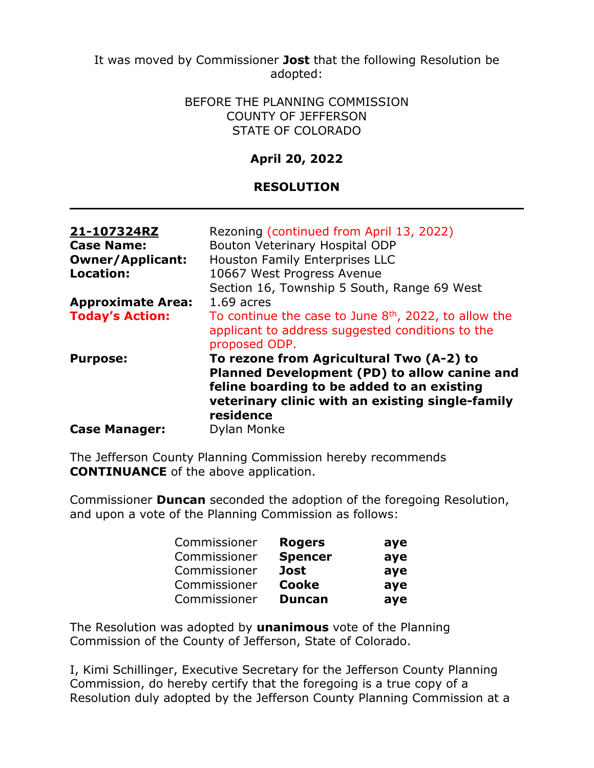> BEFORE THE PLANNING COMMISSION COUNTY OF JEFFERSON STATE OF COLORADO

## **April 20, 2022**

### **RESOLUTION**

| 21-107324RZ<br><b>Case Name:</b><br><b>Owner/Applicant:</b><br><b>Location:</b> | Rezoning (continued from April 13, 2022)<br>Bouton Veterinary Hospital ODP<br><b>Houston Family Enterprises LLC</b><br>10667 West Progress Avenue<br>Section 16, Township 5 South, Range 69 West        |
|---------------------------------------------------------------------------------|---------------------------------------------------------------------------------------------------------------------------------------------------------------------------------------------------------|
| <b>Approximate Area:</b>                                                        | $1.69$ acres                                                                                                                                                                                            |
| <b>Today's Action:</b>                                                          | To continue the case to June $8th$ , 2022, to allow the<br>applicant to address suggested conditions to the<br>proposed ODP.                                                                            |
| <b>Purpose:</b>                                                                 | To rezone from Agricultural Two (A-2) to<br>Planned Development (PD) to allow canine and<br>feline boarding to be added to an existing<br>veterinary clinic with an existing single-family<br>residence |
| <b>Case Manager:</b>                                                            | Dylan Monke                                                                                                                                                                                             |

The Jefferson County Planning Commission hereby recommends **CONTINUANCE** of the above application.

Commissioner **Duncan** seconded the adoption of the foregoing Resolution, and upon a vote of the Planning Commission as follows:

| Commissioner | <b>Rogers</b>  | aye |
|--------------|----------------|-----|
| Commissioner | <b>Spencer</b> | aye |
| Commissioner | <b>Jost</b>    | aye |
| Commissioner | <b>Cooke</b>   | aye |
| Commissioner | <b>Duncan</b>  | aye |

The Resolution was adopted by **unanimous** vote of the Planning Commission of the County of Jefferson, State of Colorado.

I, Kimi Schillinger, Executive Secretary for the Jefferson County Planning Commission, do hereby certify that the foregoing is a true copy of a Resolution duly adopted by the Jefferson County Planning Commission at a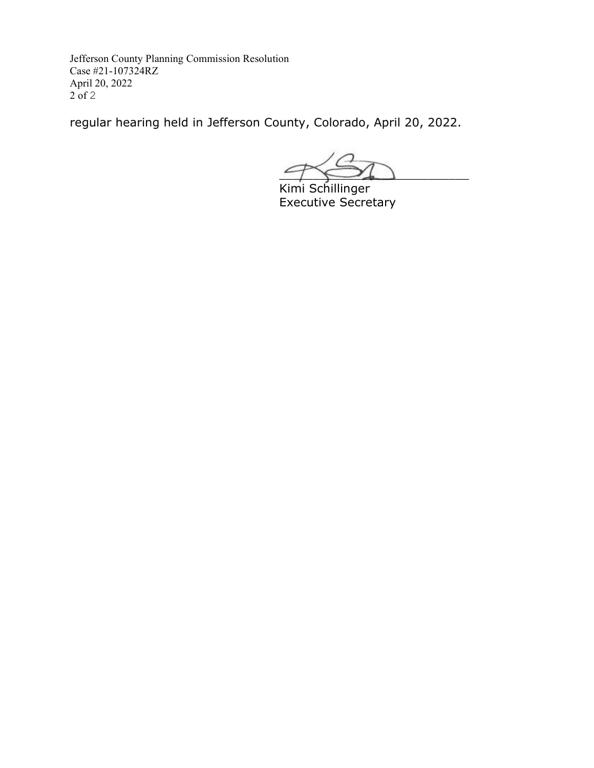Jefferson County Planning Commission Resolution Case #21-107324RZ April 20, 2022  $2$  of 2

regular hearing held in Jefferson County, Colorado, April 20, 2022.

 $7 \leftrightarrow$ 

Kimi Schillinger Executive Secretary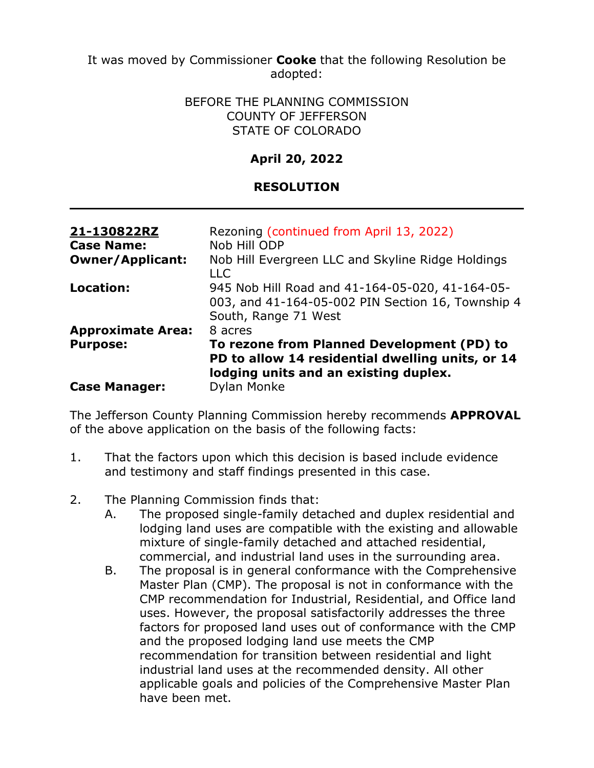#### BEFORE THE PLANNING COMMISSION COUNTY OF JEFFERSON STATE OF COLORADO

# **April 20, 2022**

## **RESOLUTION**

| 21-130822RZ<br><b>Case Name:</b> | Rezoning (continued from April 13, 2022)<br>Nob Hill ODP                                                                                |
|----------------------------------|-----------------------------------------------------------------------------------------------------------------------------------------|
| <b>Owner/Applicant:</b>          | Nob Hill Evergreen LLC and Skyline Ridge Holdings<br><b>LLC</b>                                                                         |
| Location:                        | 945 Nob Hill Road and 41-164-05-020, 41-164-05-<br>003, and 41-164-05-002 PIN Section 16, Township 4<br>South, Range 71 West            |
| <b>Approximate Area:</b>         | 8 acres                                                                                                                                 |
| <b>Purpose:</b>                  | To rezone from Planned Development (PD) to<br>PD to allow 14 residential dwelling units, or 14<br>lodging units and an existing duplex. |
| <b>Case Manager:</b>             | <b>Dylan Monke</b>                                                                                                                      |

The Jefferson County Planning Commission hereby recommends **APPROVAL**  of the above application on the basis of the following facts:

- 1. That the factors upon which this decision is based include evidence and testimony and staff findings presented in this case.
- 2. The Planning Commission finds that:
	- A. The proposed single-family detached and duplex residential and lodging land uses are compatible with the existing and allowable mixture of single-family detached and attached residential, commercial, and industrial land uses in the surrounding area.
	- B. The proposal is in general conformance with the Comprehensive Master Plan (CMP). The proposal is not in conformance with the CMP recommendation for Industrial, Residential, and Office land uses. However, the proposal satisfactorily addresses the three factors for proposed land uses out of conformance with the CMP and the proposed lodging land use meets the CMP recommendation for transition between residential and light industrial land uses at the recommended density. All other applicable goals and policies of the Comprehensive Master Plan have been met.